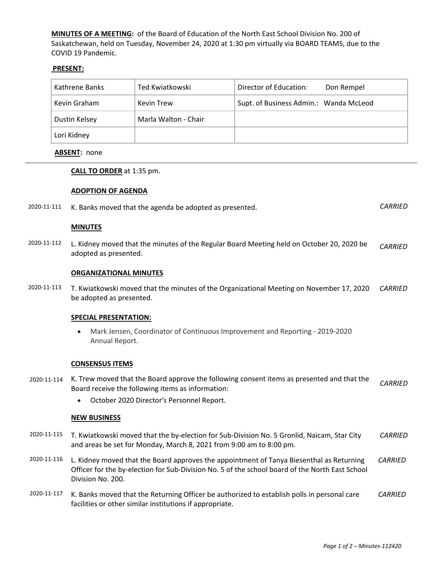**MINUTES OF A MEETING:** of the Board of Education of the North East School Division No. 200 of Saskatchewan, held on Tuesday, November 24, 2020 at 1:30 pm virtually via BOARD TEAMS, due to the COVID 19 Pandemic.

# **PRESENT:**

| Kathrene Banks | Ted Kwiatkowski      | Director of Education:<br>Don Rempel   |
|----------------|----------------------|----------------------------------------|
| Kevin Graham   | Kevin Trew           | Supt. of Business Admin.: Wanda McLeod |
| Dustin Kelsey  | Marla Walton - Chair |                                        |
| Lori Kidney    |                      |                                        |

## **ABSENT:** none

## **CALL TO ORDER** at 1:35 pm.

### **ADOPTION OF AGENDA**

|  | 2020-11-111 K. Banks moved that the agenda be adopted as presented. | CARRIED |
|--|---------------------------------------------------------------------|---------|
|--|---------------------------------------------------------------------|---------|

### **MINUTES**

2020-11-112 L. Kidney moved that the minutes of the Regular Board Meeting held on October 20, 2020 be adopted as presented. *CARRIED*

#### **ORGANIZATIONAL MINUTES**

2020-11-113 T. Kwiatkowski moved that the minutes of the Organizational Meeting on November 17, 2020 be adopted as presented. *CARRIED*

#### **SPECIAL PRESENTATION:**

• Mark Jensen, Coordinator of Continuous Improvement and Reporting - 2019-2020 Annual Report.

### **CONSENSUS ITEMS**

- 2020-11-114 K. Trew moved that the Board approve the following consent items as presented and that the Board receive the following items as information: *CARRIED*
	- October 2020 Director's Personnel Report.

#### **NEW BUSINESS**

- 2020-11-115 T. Kwiatkowski moved that the by-election for Sub-Division No. 5 Gronlid, Naicam, Star City and areas be set for Monday, March 8, 2021 from 9:00 am to 8:00 pm. *CARRIED*
- 2020-11-116 L. Kidney moved that the Board approves the appointment of Tanya Biesenthal as Returning Officer for the by-election for Sub-Division No. 5 of the school board of the North East School Division No. 200. *CARRIED*
- 2020-11-117 K. Banks moved that the Returning Officer be authorized to establish polls in personal care facilities or other similar institutions if appropriate. *CARRIED*